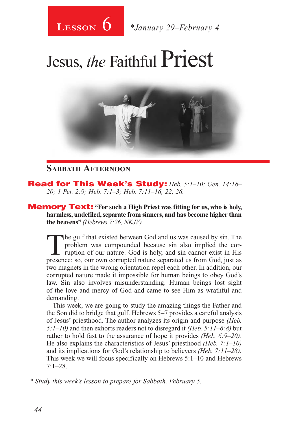

# Jesus, *the* Faithful Priest



### **Sabbath Afternoon**

Read for This Week's Study: *Heb. 5:1–10; Gen. 14:18– 20; 1 Pet. 2:9; Heb. 7:1–3; Heb. 7:11–16, 22, 26.*

**Memory Text:** "For such a High Priest was fitting for us, who is holy, **harmless, undefiled, separate from sinners, and has become higher than the heavens"** *(Hebrews 7:26, NKJV).*

The gulf that existed between God and us was caused by sin. The problem was compounded because sin also implied the corruption of our nature. God is holy, and sin cannot exist in His presence: so our own corrupted nature s problem was compounded because sin also implied the corpresence; so, our own corrupted nature separated us from God, just as two magnets in the wrong orientation repel each other. In addition, our corrupted nature made it impossible for human beings to obey God's law. Sin also involves misunderstanding. Human beings lost sight of the love and mercy of God and came to see Him as wrathful and demanding.

This week, we are going to study the amazing things the Father and the Son did to bridge that gulf. Hebrews 5–7 provides a careful analysis of Jesus' priesthood. The author analyzes its origin and purpose *(Heb. 5:1–10)* and then exhorts readers not to disregard it *(Heb. 5:11–6:8)* but rather to hold fast to the assurance of hope it provides *(Heb. 6:9–20)*. He also explains the characteristics of Jesus' priesthood *(Heb. 7:1–10)*  and its implications for God's relationship to believers *(Heb. 7:11–28).*  This week we will focus specifically on Hebrews 5:1–10 and Hebrews  $7:1-28$ .

*\* Study this week's lesson to prepare for Sabbath, February 5.*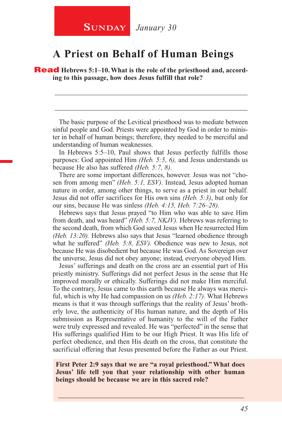### **A Priest on Behalf of Human Beings**

**Read** Hebrews 5:1–10. What is the role of the priesthood and, accord**ing to this passage, how does Jesus fulfill that role?**

The basic purpose of the Levitical priesthood was to mediate between sinful people and God. Priests were appointed by God in order to minister in behalf of human beings; therefore, they needed to be merciful and understanding of human weaknesses.

\_\_\_\_\_\_\_\_\_\_\_\_\_\_\_\_\_\_\_\_\_\_\_\_\_\_\_\_\_\_\_\_\_\_\_\_\_\_\_\_\_\_\_\_\_\_\_\_\_\_\_\_\_\_\_\_

\_\_\_\_\_\_\_\_\_\_\_\_\_\_\_\_\_\_\_\_\_\_\_\_\_\_\_\_\_\_\_\_\_\_\_\_\_\_\_\_\_\_\_\_\_\_\_\_\_\_\_\_\_\_\_\_

In Hebrews 5:5–10, Paul shows that Jesus perfectly fulfills those purposes: God appointed Him *(Heb. 5:5, 6),* and Jesus understands us because He also has suffered *(Heb. 5:7, 8)*.

There are some important differences, however. Jesus was not "chosen from among men" *(Heb. 5:1, ESV).* Instead, Jesus adopted human nature in order, among other things, to serve as a priest in our behalf. Jesus did not offer sacrifices for His own sins *(Heb. 5:3)*, but only for our sins, because He was sinless *(Heb. 4:15, Heb. 7:26–28).*

Hebrews says that Jesus prayed "to Him who was able to save Him from death, and was heard" *(Heb. 5:7, NKJV).* Hebrews was referring to the second death, from which God saved Jesus when He resurrected Him *(Heb. 13:20).* Hebrews also says that Jesus "learned obedience through what he suffered" *(Heb. 5:8, ESV).* Obedience was new to Jesus, not because He was disobedient but because He was God. As Sovereign over the universe, Jesus did not obey anyone; instead, everyone obeyed Him.

Jesus' sufferings and death on the cross are an essential part of His priestly ministry. Sufferings did not perfect Jesus in the sense that He improved morally or ethically. Sufferings did not make Him merciful. To the contrary, Jesus came to this earth because He always was merciful, which is why He had compassion on us *(Heb. 2:17).* What Hebrews means is that it was through sufferings that the reality of Jesus' brotherly love, the authenticity of His human nature, and the depth of His submission as Representative of humanity to the will of the Father were truly expressed and revealed. He was "perfected" in the sense that His sufferings qualified Him to be our High Priest. It was His life of perfect obedience, and then His death on the cross, that constitute the sacrificial offering that Jesus presented before the Father as our Priest.

**First Peter 2:9 says that we are "a royal priesthood." What does Jesus' life tell you that your relationship with other human beings should be because we are in this sacred role?**

\_\_\_\_\_\_\_\_\_\_\_\_\_\_\_\_\_\_\_\_\_\_\_\_\_\_\_\_\_\_\_\_\_\_\_\_\_\_\_\_\_\_\_\_\_\_\_\_\_\_\_\_\_\_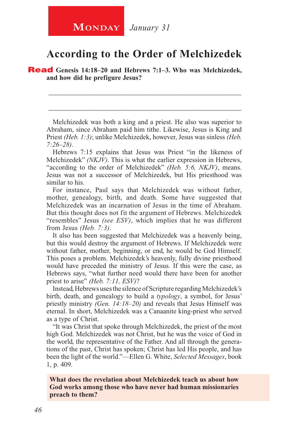### **According to the Order of Melchizedek**

\_\_\_\_\_\_\_\_\_\_\_\_\_\_\_\_\_\_\_\_\_\_\_\_\_\_\_\_\_\_\_\_\_\_\_\_\_\_\_\_\_\_\_\_\_\_\_\_\_\_\_\_\_\_\_\_

\_\_\_\_\_\_\_\_\_\_\_\_\_\_\_\_\_\_\_\_\_\_\_\_\_\_\_\_\_\_\_\_\_\_\_\_\_\_\_\_\_\_\_\_\_\_\_\_\_\_\_\_\_\_\_\_

Read **Genesis 14:18–20 and Hebrews 7:1–3. Who was Melchizedek, and how did he prefigure Jesus?**

Melchizedek was both a king and a priest. He also was superior to Abraham, since Abraham paid him tithe. Likewise, Jesus is King and Priest *(Heb. 1:3)*; unlike Melchizedek, however, Jesus was sinless *(Heb. 7:26–28)*.

Hebrews 7:15 explains that Jesus was Priest "in the likeness of Melchizedek" *(NKJV)*. This is what the earlier expression in Hebrews, "according to the order of Melchizedek" *(Heb. 5:6, NKJV)*, means. Jesus was not a successor of Melchizedek, but His priesthood was similar to his.

For instance, Paul says that Melchizedek was without father, mother, genealogy, birth, and death. Some have suggested that Melchizedek was an incarnation of Jesus in the time of Abraham. But this thought does not fit the argument of Hebrews. Melchizedek "resembles" Jesus *(see ESV)*, which implies that he was different from Jesus *(Heb. 7:3)*.

It also has been suggested that Melchizedek was a heavenly being, but this would destroy the argument of Hebrews. If Melchizedek were without father, mother, beginning, or end, he would be God Himself. This poses a problem. Melchizedek's heavenly, fully divine priesthood would have preceded the ministry of Jesus. If this were the case, as Hebrews says, "what further need would there have been for another priest to arise" *(Heb. 7:11, ESV)*?

Instead, Hebrews uses the silence of Scripture regarding Melchizedek's birth, death, and genealogy to build a *typology*, a symbol, for Jesus' priestly ministry *(Gen. 14:18–20)* and reveals that Jesus Himself was eternal. In short, Melchizedek was a Canaanite king-priest who served as a type of Christ.

"It was Christ that spoke through Melchizedek, the priest of the most high God. Melchizedek was not Christ, but he was the voice of God in the world, the representative of the Father. And all through the generations of the past, Christ has spoken; Christ has led His people, and has been the light of the world."—Ellen G. White, *Selected Messages*, book 1, p. 409.

**What does the revelation about Melchizedek teach us about how God works among those who have never had human missionaries preach to them?**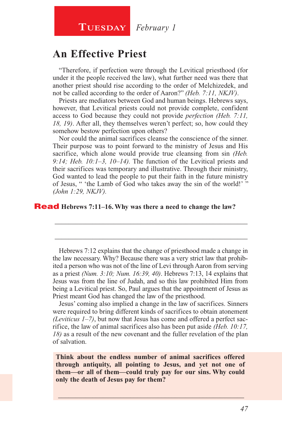### **An Effective Priest**

"Therefore, if perfection were through the Levitical priesthood (for under it the people received the law), what further need was there that another priest should rise according to the order of Melchizedek, and not be called according to the order of Aaron?" *(Heb. 7:11, NKJV)*.

Priests are mediators between God and human beings. Hebrews says, however, that Levitical priests could not provide complete, confident access to God because they could not provide *perfection (Heb. 7:11, 18, 19)*. After all, they themselves weren't perfect; so, how could they somehow bestow perfection upon others?

Nor could the animal sacrifices cleanse the conscience of the sinner. Their purpose was to point forward to the ministry of Jesus and His sacrifice, which alone would provide true cleansing from sin *(Heb. 9:14; Heb. 10:1–3, 10–14).* The function of the Levitical priests and their sacrifices was temporary and illustrative. Through their ministry, God wanted to lead the people to put their faith in the future ministry of Jesus, " 'the Lamb of God who takes away the sin of the world!'" *(John 1:29, NKJV).*

#### Read **Hebrews 7:11–16. Why was there a need to change the law?**

Hebrews 7:12 explains that the change of priesthood made a change in the law necessary. Why? Because there was a very strict law that prohibited a person who was not of the line of Levi through Aaron from serving as a priest *(Num. 3:10; Num. 16:39, 40)*. Hebrews 7:13, 14 explains that Jesus was from the line of Judah, and so this law prohibited Him from being a Levitical priest. So, Paul argues that the appointment of Jesus as Priest meant God has changed the law of the priesthood.

\_\_\_\_\_\_\_\_\_\_\_\_\_\_\_\_\_\_\_\_\_\_\_\_\_\_\_\_\_\_\_\_\_\_\_\_\_\_\_\_\_\_\_\_\_\_\_\_\_\_\_\_\_\_\_\_

\_\_\_\_\_\_\_\_\_\_\_\_\_\_\_\_\_\_\_\_\_\_\_\_\_\_\_\_\_\_\_\_\_\_\_\_\_\_\_\_\_\_\_\_\_\_\_\_\_\_\_\_\_\_\_\_

Jesus' coming also implied a change in the law of sacrifices. Sinners were required to bring different kinds of sacrifices to obtain atonement *(Leviticus 1–7)*, but now that Jesus has come and offered a perfect sacrifice, the law of animal sacrifices also has been put aside *(Heb. 10:17, 18)* as a result of the new covenant and the fuller revelation of the plan of salvation.

**Think about the endless number of animal sacrifices offered through antiquity, all pointing to Jesus, and yet not one of them—or all of them—could truly pay for our sins. Why could only the death of Jesus pay for them?**

\_\_\_\_\_\_\_\_\_\_\_\_\_\_\_\_\_\_\_\_\_\_\_\_\_\_\_\_\_\_\_\_\_\_\_\_\_\_\_\_\_\_\_\_\_\_\_\_\_\_\_\_\_\_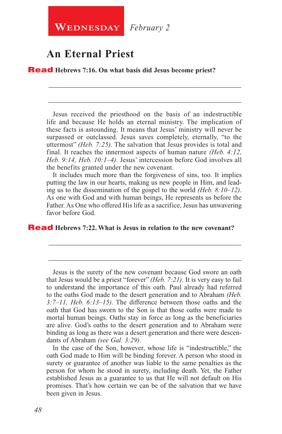**WEDNESDAY** *February* 2

### **An Eternal Priest**

Read **Hebrews 7:16. On what basis did Jesus become priest?**

Jesus received the priesthood on the basis of an indestructible life and because He holds an eternal ministry. The implication of these facts is astounding. It means that Jesus' ministry will never be surpassed or outclassed. Jesus saves completely, eternally, "to the uttermost" *(Heb. 7:25)*. The salvation that Jesus provides is total and final. It reaches the innermost aspects of human nature *(Heb. 4:12, Heb. 9:14, Heb. 10:1–4)*. Jesus' intercession before God involves all the benefits granted under the new covenant.

\_\_\_\_\_\_\_\_\_\_\_\_\_\_\_\_\_\_\_\_\_\_\_\_\_\_\_\_\_\_\_\_\_\_\_\_\_\_\_\_\_\_\_\_\_\_\_\_\_\_\_\_\_\_\_\_

\_\_\_\_\_\_\_\_\_\_\_\_\_\_\_\_\_\_\_\_\_\_\_\_\_\_\_\_\_\_\_\_\_\_\_\_\_\_\_\_\_\_\_\_\_\_\_\_\_\_\_\_\_\_\_\_

It includes much more than the forgiveness of sins, too. It implies putting the law in our hearts, making us new people in Him, and leading us to the dissemination of the gospel to the world *(Heb. 8:10–12)*. As one with God and with human beings, He represents us before the Father. As One who offered His life as a sacrifice, Jesus has unwavering favor before God.

\_\_\_\_\_\_\_\_\_\_\_\_\_\_\_\_\_\_\_\_\_\_\_\_\_\_\_\_\_\_\_\_\_\_\_\_\_\_\_\_\_\_\_\_\_\_\_\_\_\_\_\_\_\_\_\_

\_\_\_\_\_\_\_\_\_\_\_\_\_\_\_\_\_\_\_\_\_\_\_\_\_\_\_\_\_\_\_\_\_\_\_\_\_\_\_\_\_\_\_\_\_\_\_\_\_\_\_\_\_\_\_\_

#### Read **Hebrews 7:22. What is Jesus in relation to the new covenant?**

Jesus is the surety of the new covenant because God swore an oath that Jesus would be a priest "forever" *(Heb. 7:21)*. It is very easy to fail to understand the importance of this oath. Paul already had referred to the oaths God made to the desert generation and to Abraham *(Heb. 3:7–11, Heb. 6:13–15)*. The difference between those oaths and the oath that God has sworn to the Son is that those oaths were made to mortal human beings. Oaths stay in force as long as the beneficiaries are alive. God's oaths to the desert generation and to Abraham were binding as long as there was a desert generation and there were descendants of Abraham *(see Gal. 3:29)*.

In the case of the Son, however, whose life is "indestructible," the oath God made to Him will be binding forever. A person who stood in surety or guarantee of another was liable to the same penalties as the person for whom he stood in surety, including death. Yet, the Father established Jesus as a guarantee to us that He will not default on His promises. That's how certain we can be of the salvation that we have been given in Jesus.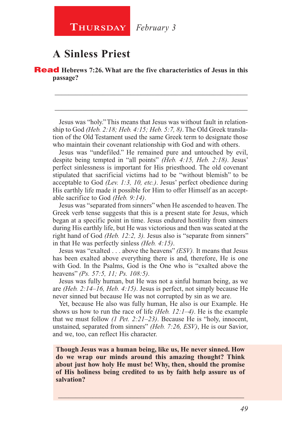### **A Sinless Priest**

Read **Hebrews 7:26. What are the five characteristics of Jesus in this passage?**

Jesus was "holy." This means that Jesus was without fault in relationship to God *(Heb. 2:18; Heb. 4:15; Heb. 5:7, 8)*. The Old Greek translation of the Old Testament used the same Greek term to designate those who maintain their covenant relationship with God and with others.

\_\_\_\_\_\_\_\_\_\_\_\_\_\_\_\_\_\_\_\_\_\_\_\_\_\_\_\_\_\_\_\_\_\_\_\_\_\_\_\_\_\_\_\_\_\_\_\_\_\_\_\_\_\_\_\_

\_\_\_\_\_\_\_\_\_\_\_\_\_\_\_\_\_\_\_\_\_\_\_\_\_\_\_\_\_\_\_\_\_\_\_\_\_\_\_\_\_\_\_\_\_\_\_\_\_\_\_\_\_\_\_\_

Jesus was "undefiled." He remained pure and untouched by evil, despite being tempted in "all points" *(Heb. 4:15, Heb. 2:18)*. Jesus' perfect sinlessness is important for His priesthood. The old covenant stipulated that sacrificial victims had to be "without blemish" to be acceptable to God *(Lev. 1:3, 10, etc.)*. Jesus' perfect obedience during His earthly life made it possible for Him to offer Himself as an acceptable sacrifice to God *(Heb. 9:14)*.

Jesus was "separated from sinners" when He ascended to heaven. The Greek verb tense suggests that this is a present state for Jesus, which began at a specific point in time. Jesus endured hostility from sinners during His earthly life, but He was victorious and then was seated at the right hand of God *(Heb. 12:2, 3).* Jesus also is "separate from sinners" in that He was perfectly sinless *(Heb. 4:15)*.

Jesus was "exalted . . . above the heavens" *(ESV).* It means that Jesus has been exalted above everything there is and, therefore, He is one with God. In the Psalms, God is the One who is "exalted above the heavens" *(Ps. 57:5, 11; Ps. 108:5)*.

Jesus was fully human, but He was not a sinful human being, as we are *(Heb. 2:14–16, Heb. 4:15)*. Jesus is perfect, not simply because He never sinned but because He was not corrupted by sin as we are.

Yet, because He also was fully human, He also is our Example. He shows us how to run the race of life *(Heb. 12:1–4)*. He is the example that we must follow *(1 Pet. 2:21–23)*. Because He is "holy, innocent, unstained, separated from sinners" *(Heb. 7:26, ESV)*, He is our Savior, and we, too, can reflect His character.

**Though Jesus was a human being, like us, He never sinned. How do we wrap our minds around this amazing thought? Think about just how holy He must be! Why, then, should the promise of His holiness being credited to us by faith help assure us of salvation?**

\_\_\_\_\_\_\_\_\_\_\_\_\_\_\_\_\_\_\_\_\_\_\_\_\_\_\_\_\_\_\_\_\_\_\_\_\_\_\_\_\_\_\_\_\_\_\_\_\_\_\_\_\_\_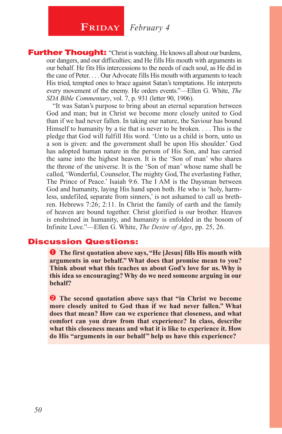## **FRIDAY** *February* 4

**Further Thought:** "Christ is watching. He knows all about our burdens, our dangers, and our difficulties; and He fills His mouth with arguments in our behalf. He fits His intercessions to the needs of each soul, as He did in the case of Peter. . . . Our Advocate fills His mouth with arguments to teach His tried, tempted ones to brace against Satan's temptations. He interprets every movement of the enemy. He orders events."—Ellen G. White, *The SDA Bible Commentary*, vol. 7, p. 931 (letter 90, 1906).

"It was Satan's purpose to bring about an eternal separation between God and man; but in Christ we become more closely united to God than if we had never fallen. In taking our nature, the Saviour has bound Himself to humanity by a tie that is never to be broken. . . . This is the pledge that God will fulfill His word. 'Unto us a child is born, unto us a son is given: and the government shall be upon His shoulder.' God has adopted human nature in the person of His Son, and has carried the same into the highest heaven. It is the 'Son of man' who shares the throne of the universe. It is the 'Son of man' whose name shall be called, 'Wonderful, Counselor, The mighty God, The everlasting Father, The Prince of Peace.' Isaiah 9:6. The I AM is the Daysman between God and humanity, laying His hand upon both. He who is 'holy, harmless, undefiled, separate from sinners,' is not ashamed to call us brethren. Hebrews 7:26; 2:11. In Christ the family of earth and the family of heaven are bound together. Christ glorified is our brother. Heaven is enshrined in humanity, and humanity is enfolded in the bosom of Infinite Love."—Ellen G. White, *The Desire of Ages*, pp. 25, 26.

### Discussion Questions:

 **The first quotation above says, "He [Jesus] fills His mouth with arguments in our behalf." What does that promise mean to you? Think about what this teaches us about God's love for us. Why is this idea so encouraging? Why do we need someone arguing in our behalf?**

**2** The second quotation above says that "in Christ we become **more closely united to God than if we had never fallen." What does that mean? How can we experience that closeness, and what comfort can you draw from that experience? In class, describe what this closeness means and what it is like to experience it. How do His "arguments in our behalf" help us have this experience?**